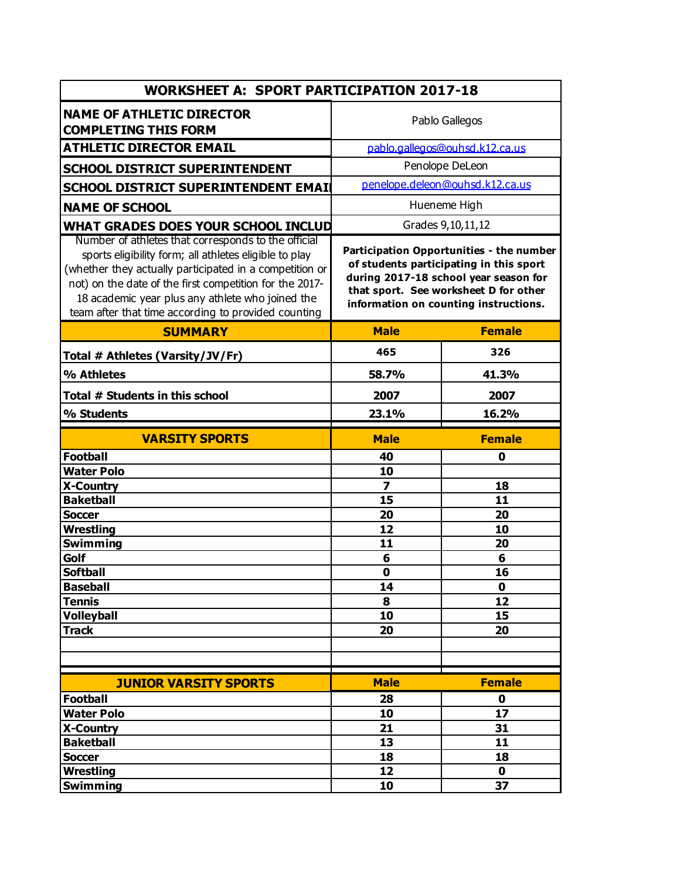| <b>WORKSHEET A: SPORT PARTICIPATION 2017-18</b>                                                                                                                                                                                                                                                                                                |                                                                                                                                                                                                                |               |  |  |
|------------------------------------------------------------------------------------------------------------------------------------------------------------------------------------------------------------------------------------------------------------------------------------------------------------------------------------------------|----------------------------------------------------------------------------------------------------------------------------------------------------------------------------------------------------------------|---------------|--|--|
| <b>NAME OF ATHLETIC DIRECTOR</b><br><b>COMPLETING THIS FORM</b>                                                                                                                                                                                                                                                                                | Pablo Gallegos                                                                                                                                                                                                 |               |  |  |
| <b>ATHLETIC DIRECTOR EMAIL</b>                                                                                                                                                                                                                                                                                                                 | pablo.gallegos@ouhsd.k12.ca.us                                                                                                                                                                                 |               |  |  |
| <b>SCHOOL DISTRICT SUPERINTENDENT</b>                                                                                                                                                                                                                                                                                                          | Penolope DeLeon                                                                                                                                                                                                |               |  |  |
| SCHOOL DISTRICT SUPERINTENDENT EMAIL                                                                                                                                                                                                                                                                                                           | penelope.deleon@ouhsd.k12.ca.us                                                                                                                                                                                |               |  |  |
| <b>NAME OF SCHOOL</b>                                                                                                                                                                                                                                                                                                                          | Hueneme High                                                                                                                                                                                                   |               |  |  |
| WHAT GRADES DOES YOUR SCHOOL INCLUD                                                                                                                                                                                                                                                                                                            | Grades 9, 10, 11, 12                                                                                                                                                                                           |               |  |  |
| Number of athletes that corresponds to the official<br>sports eligibility form; all athletes eligible to play<br>(whether they actually participated in a competition or<br>not) on the date of the first competition for the 2017-<br>18 academic year plus any athlete who joined the<br>team after that time according to provided counting | Participation Opportunities - the number<br>of students participating in this sport<br>during 2017-18 school year season for<br>that sport. See worksheet D for other<br>information on counting instructions. |               |  |  |
| <b>SUMMARY</b>                                                                                                                                                                                                                                                                                                                                 | <b>Male</b>                                                                                                                                                                                                    | <b>Female</b> |  |  |
| Total # Athletes (Varsity/JV/Fr)                                                                                                                                                                                                                                                                                                               | 465                                                                                                                                                                                                            | 326           |  |  |
| % Athletes                                                                                                                                                                                                                                                                                                                                     | 58.7%                                                                                                                                                                                                          | 41.3%         |  |  |
| Total # Students in this school                                                                                                                                                                                                                                                                                                                | 2007                                                                                                                                                                                                           | 2007          |  |  |
| % Students                                                                                                                                                                                                                                                                                                                                     | 23.1%                                                                                                                                                                                                          | 16.2%         |  |  |
| <b>VARSITY SPORTS</b>                                                                                                                                                                                                                                                                                                                          | <b>Male</b>                                                                                                                                                                                                    | <b>Female</b> |  |  |
| <b>Football</b>                                                                                                                                                                                                                                                                                                                                | 40                                                                                                                                                                                                             | 0             |  |  |
| <b>Water Polo</b>                                                                                                                                                                                                                                                                                                                              | 10                                                                                                                                                                                                             |               |  |  |
| <b>X-Country</b>                                                                                                                                                                                                                                                                                                                               | $\overline{\mathbf{z}}$                                                                                                                                                                                        | 18            |  |  |
| <b>Baketball</b>                                                                                                                                                                                                                                                                                                                               | 15                                                                                                                                                                                                             | 11            |  |  |
| <b>Soccer</b>                                                                                                                                                                                                                                                                                                                                  | 20                                                                                                                                                                                                             | 20            |  |  |
| <b>Wrestling</b>                                                                                                                                                                                                                                                                                                                               | 12                                                                                                                                                                                                             | 10            |  |  |
| <b>Swimming</b><br>Golf                                                                                                                                                                                                                                                                                                                        | 11                                                                                                                                                                                                             | 20            |  |  |
| <b>Softball</b>                                                                                                                                                                                                                                                                                                                                | 6<br>$\mathbf 0$                                                                                                                                                                                               | 6<br>16       |  |  |
| <b>Baseball</b>                                                                                                                                                                                                                                                                                                                                | 14                                                                                                                                                                                                             | $\mathbf 0$   |  |  |
| <b>Tennis</b>                                                                                                                                                                                                                                                                                                                                  | 8                                                                                                                                                                                                              | 12            |  |  |
| <b>Volleyball</b>                                                                                                                                                                                                                                                                                                                              | 10                                                                                                                                                                                                             | 15            |  |  |
| <b>Track</b>                                                                                                                                                                                                                                                                                                                                   | 20                                                                                                                                                                                                             | 20            |  |  |
|                                                                                                                                                                                                                                                                                                                                                |                                                                                                                                                                                                                |               |  |  |
|                                                                                                                                                                                                                                                                                                                                                |                                                                                                                                                                                                                |               |  |  |
|                                                                                                                                                                                                                                                                                                                                                | <b>Male</b>                                                                                                                                                                                                    | <b>Female</b> |  |  |
| <b>JUNIOR VARSITY SPORTS</b><br><b>Football</b>                                                                                                                                                                                                                                                                                                | 28                                                                                                                                                                                                             | $\mathbf 0$   |  |  |
| <b>Water Polo</b>                                                                                                                                                                                                                                                                                                                              | 10                                                                                                                                                                                                             | 17            |  |  |
| X-Country                                                                                                                                                                                                                                                                                                                                      | 21                                                                                                                                                                                                             | 31            |  |  |
| <b>Baketball</b>                                                                                                                                                                                                                                                                                                                               | 13                                                                                                                                                                                                             | 11            |  |  |
| <b>Soccer</b>                                                                                                                                                                                                                                                                                                                                  | 18                                                                                                                                                                                                             | 18            |  |  |
| Wrestling                                                                                                                                                                                                                                                                                                                                      | 12                                                                                                                                                                                                             | $\mathbf 0$   |  |  |
| <b>Swimming</b>                                                                                                                                                                                                                                                                                                                                | 10                                                                                                                                                                                                             | 37            |  |  |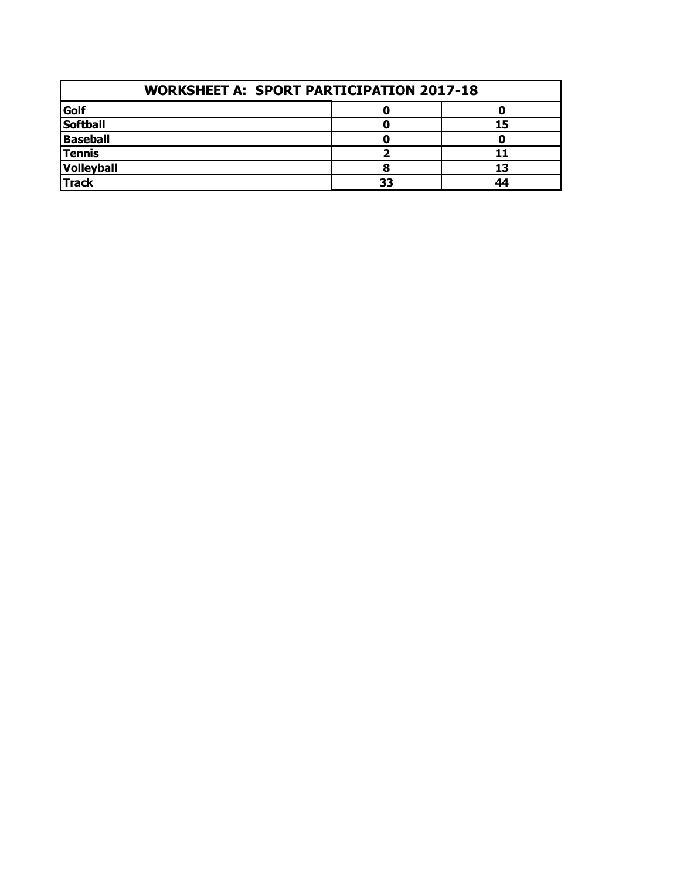| <b>WORKSHEET A: SPORT PARTICIPATION 2017-18</b> |    |    |  |  |
|-------------------------------------------------|----|----|--|--|
| Golf                                            |    |    |  |  |
| <b>Softball</b>                                 |    | 15 |  |  |
| Baseball                                        |    |    |  |  |
| <b>Tennis</b>                                   |    |    |  |  |
| Volleyball                                      |    | 13 |  |  |
| <b>Track</b>                                    | 33 | ΔΔ |  |  |